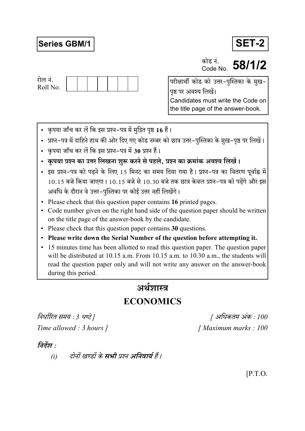# **Series GBM/1**



कोड नं. **This H.** 58/1/2



परीक्षार्थी कोड को उत्तर-पुस्तिका के मुख-पृष्ठ पर अवश्य लिखें। Candidates must write the Code on the title page of the answer-book.

- कृपया जाँच कर लें कि इस प्रश्न-पत्र में मुद्रित पृष्ठ 16 हैं।
- प्रश्न–पत्र में दाहिने हाथ की ओर दिए गए कोड नम्बर को छात्र उत्तर–पुस्तिका के मुख–पृष्ठ पर लिखें।
- कृपया जाँच कर लें कि इस प्रश्न-पत्र में 30 प्रश्न हैं।
- कृपया प्रश्न का उत्तर लिखना शुरू करने से पहले, प्रश्न का क्रमांक अवश्य लिखें।
- इस प्रश्न-पत्र को पढने के लिए 15 मिनट का समय दिया गया है। प्रश्न-पत्र का वितरण पूर्वाह्न में 10.15 बजे किया जाएगा। 10.15 बजे से 10.30 बजे तक छात्र केवल प्रश्न-पत्र को पढ़ेंगे और इस अवधि के दौरान वे उत्तर-पुस्तिका पर कोई उत्तर नहीं लिखेंगे।
- Please check that this question paper contains 16 printed pages.
- Code number given on the right hand side of the question paper should be written on the title page of the answer-book by the candidate.
- Please check that this question paper contains 30 questions.
- Please write down the Serial Number of the question before attempting it.
- 15 minutes time has been allotted to read this question paper. The question paper will be distributed at 10.15 a.m. From 10.15 a.m. to 10.30 a.m., the students will read the question paper only and will not write any answer on the answer-book during this period.

# अर्थशास्त्र

# **ECONOMICS**

निर्धारित समय : 3 घण्टे ] Time allowed : 3 hours 1

[ अधिकतम अंक : 100 [Maximum marks: 100]

# निर्देश :

दोनों खण्डों के **सभी** प्रश्न अनिवार्य हैं।  $(i)$ 

 $[$ P.T.O.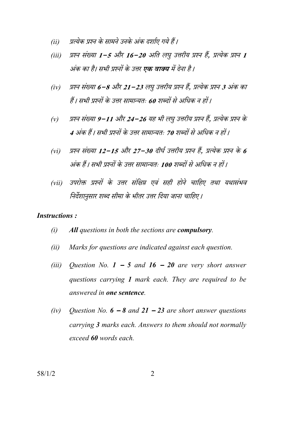- प्रत्येक प्रश्न के सामने उनके अंक दर्शाए गये हैं।  $(ii)$
- प्रश्न संख्या 1-5 और 16-20 अति लघु उत्तरीय प्रश्न हैं, प्रत्येक प्रश्न 1  $(iii)$ अंक का है। सभी प्रश्नों के उत्तर **एक वाक्य** में देना है।
- प्रश्न संख्या 6−8 और 21−23 लघु उत्तरीय प्रश्न हैं, प्रत्येक प्रश्न 3 अंक का  $(iv)$ हैं। सभी प्रश्नों के उत्तर सामान्यतः 60 शब्दों से अधिक न हों।
- प्रश्न संख्या 9–11 और 24–26 यह भी लघु उत्तरीय प्रश्न हैं. प्रत्येक प्रश्न के  $(v)$ 4 अंक हैं। सभी प्रश्नों के उत्तर सामान्यतः 70 शब्दों से अधिक न हों।
- प्रश्न संख्या 12–15 और 27–30 दीर्घ उत्तरीय प्रश्न हैं. प्रत्येक प्रश्न के 6  $(vi)$ अंक हैं। सभी प्रश्नों के उत्तर सामान्यतः 100 शब्दों से अधिक न हों।
- उपरोक्त प्रश्नों के उत्तर संक्षिप्त एवं सही होने चाहिए तथा यथासंभव  $(vii)$ निर्देशानुसार शब्द सीमा के भीतर उत्तर दिया जाना चाहिए।

### **Instructions:**

- $(i)$ All questions in both the sections are compulsory.
- Marks for questions are indicated against each question.  $(ii)$
- $(iii)$ Question No.  $1 - 5$  and  $16 - 20$  are very short answer questions carrying 1 mark each. They are required to be answered in one sentence.
- $(iv)$ Question No.  $6 - 8$  and  $21 - 23$  are short answer questions carrying 3 marks each. Answers to them should not normally exceed 60 words each.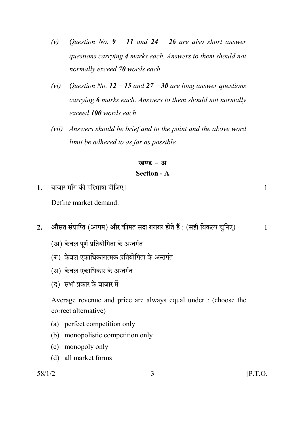- Question No.  $9 11$  and  $24 26$  are also short answer  $(v)$ questions carrying 4 marks each. Answers to them should not normally exceed 70 words each.
- Question No.  $12 15$  and  $27 30$  are long answer questions  $(vi)$ carrying 6 marks each. Answers to them should not normally exceed 100 words each.
- (vii) Answers should be brief and to the point and the above word limit be adhered to as far as possible.

# खण्ड - अ **Section - A**

बाजार माँग की परिभाषा दीजिए।  $\mathbf{1}$ .

Define market demand

- औसत संप्राप्ति (आगम) और कीमत सदा बराबर होते हैं : (सही विकल्प चुनिए)  $2.$ 
	- (अ) केवल पूर्ण प्रतियोगिता के अन्तर्गत
	- (ब) केवल एकाधिकारात्मक प्रतियोगिता के अन्तर्गत
	- (स) केवल एकाधिकार के अन्तर्गत
	- (द) सभी प्रकार के बाज़ार में

Average revenue and price are always equal under : (choose the correct alternative)

- (a) perfect competition only
- (b) monopolistic competition only
- (c) monopoly only
- (d) all market forms

 $\mathbf{1}$ 

 $\mathbf{1}$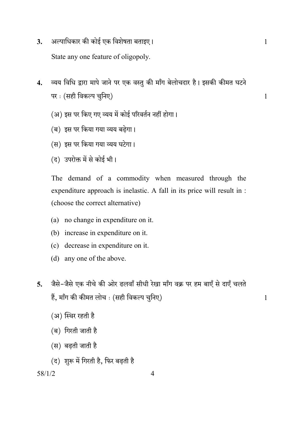- अल्पाधिकार की कोई एक विशेषता बताइए।  $3.$ State any one feature of oligopoly.
- व्यय विधि द्वारा मापे जाने पर एक वस्तु की माँग बेलोचदार है। इसकी कीमत घटने  $\overline{4}$ . पर: (सही विकल्प चुनिए)
	- (अ) इस पर किए गए व्यय में कोई परिवर्तन नहीं होगा।
	- (ब) इस पर किया गया व्यय बढेगा।
	- (स) इस पर किया गया व्यय घटेगा।
	- (द) उपरोक्त में से कोई भी।

The demand of a commodity when measured through the expenditure approach is inelastic. A fall in its price will result in : (choose the correct alternative)

- (a) no change in expenditure on it.
- (b) increase in expenditure on it.
- (c) decrease in expenditure on it.
- (d) any one of the above.
- जैसे-जैसे एक नीचे की ओर ढलवाँ सीधी रेखा माँग वक्र पर हम बाएँ से दाएँ चलते  $\overline{5}$ . हैं, माँग की कीमत लोच : (सही विकल्प चुनिए)

 $\overline{4}$ 

- (अ) स्थिर रहती है
- (ब) गिरती जाती है
- (स) बढती जाती है
- (द) शुरू में गिरती है. फिर बढती है

 $58/1/2$ 

 $\mathbf{1}$ 

 $\mathbf{1}$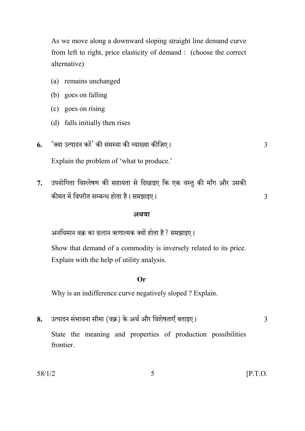As we move along a downward sloping straight line demand curve from left to right, price elasticity of demand : (choose the correct alternative)

- (a) remains unchanged
- (b) goes on falling
- (c) goes on rising
- (d) falls initially then rises
- 'क्या उत्पादन करें' की समस्या की व्याख्या कीजिए। 6. Explain the problem of 'what to produce.'
- उपयोगिता विश्लेषण की सहायता से दिखाइए कि एक वस्तु की माँग और उसकी  $7<sup>1</sup>$ कीमत में विपरीत सम्बन्ध होता है। समझाइए।

#### अथवा

अनधिमान वक्र का ढलान ऋणात्मक क्यों होता है ? समझाइए।

Show that demand of a commodity is inversely related to its price. Explain with the help of utility analysis.

## $Or$

Why is an indifference curve negatively sloped ? Explain.

उत्पादन संभावना सीमा (वक्र) के अर्थ और विशेषताएँ बताइए। 8. State the meaning and properties of production possibilities frontier

5

 $[$ P.T.O.

 $\overline{3}$ 

 $\overline{3}$ 

 $\overline{3}$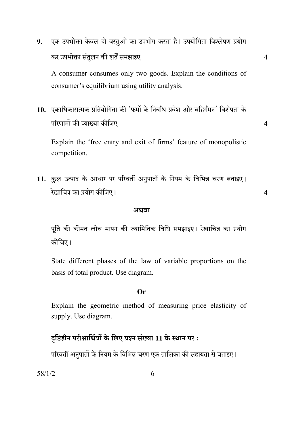एक उपभोक्ता केवल दो वस्तुओं का उपभोग करता है। उपयोगिता विश्लेषण प्रयोग 9. कर उपभोक्ता संतुलन की शर्तें समझाइए।

 $\overline{4}$ 

 $\overline{4}$ 

 $\overline{4}$ 

A consumer consumes only two goods. Explain the conditions of consumer's equilibrium using utility analysis.

10. एकाधिकारात्मक प्रतियोगिता की 'फर्मों के निर्बाध प्रवेश और बहिर्गमन' विशेषता के परिणामों की व्याख्या कीजिए।

Explain the 'free entry and exit of firms' feature of monopolistic competition.

11. कुल उत्पाद के आधार पर परिवर्ती अनुपातों के नियम के विभिन्न चरण बताइए। रेखाचित्र का प्रयोग कीजिए।

#### अथवा

पूर्ति की कीमत लोच मापन की ज्यामितिक विधि समझाइए। रेखाचित्र का प्रयोग कीजिए।

State different phases of the law of variable proportions on the basis of total product. Use diagram.

### $Or$

Explain the geometric method of measuring price elasticity of supply. Use diagram.

# दृष्टिहीन परीक्षार्थियों के लिए प्रश्न संख्या 11 के स्थान पर :

परिवर्ती अनुपातों के नियम के विभिन्न चरण एक तालिका की सहायता से बताइए।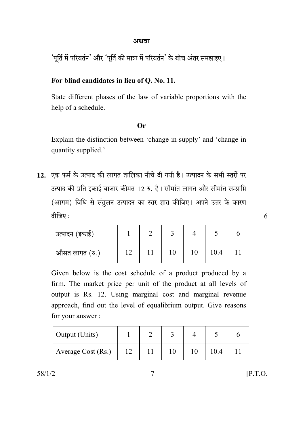## अथवा

'पूर्ति में परिवर्तन' और 'पूर्ति की मात्रा में परिवर्तन' के बीच अंतर समझाइए।

# For blind candidates in lieu of Q. No. 11.

State different phases of the law of variable proportions with the help of a schedule.

# **Or**

Explain the distinction between 'change in supply' and 'change in quantity supplied.'

12. एक फर्म के उत्पाद की लागत तालिका नीचे दी गयी है। उत्पादन के सभी स्तरों पर उत्पाद की प्रति इकाई बाजार कीमत 12 रु. है। सीमांत लागत और सीमांत सम्प्राप्ति (आगम) विधि से संतुलन उत्पादन का स्तर ज्ञात कीजिए। अपने उत्तर के कारण दीजिए:

| उत्पादन (इकाई) |  |    |      |  |
|----------------|--|----|------|--|
| औसत लागत (रु.) |  | 10 | 10.4 |  |

Given below is the cost schedule of a product produced by a firm. The market price per unit of the product at all levels of output is Rs. 12. Using marginal cost and marginal revenue approach, find out the level of equalibrium output. Give reasons for your answer:

| Output (Units)     |  |    |      |  |
|--------------------|--|----|------|--|
| Average Cost (Rs.) |  | 10 | 10.4 |  |

 $\overline{7}$ 

 $58/1/2$ 

 $[$ P.T.O.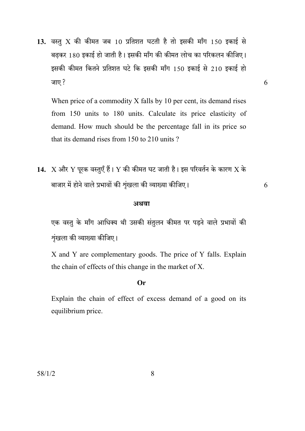13. वस्तु X की कीमत जब 10 प्रतिशत घटती है तो इसकी माँग 150 इकाई से बढकर 180 इकाई हो जाती है। इसकी माँग की कीमत लोच का परिकलन कीजिए। इसकी कीमत कितने प्रतिशत घटे कि इसकी माँग 150 इकाई से 210 इकाई हो जाए ?

When price of a commodity X falls by 10 per cent, its demand rises from 150 units to 180 units. Calculate its price elasticity of demand. How much should be the percentage fall in its price so that its demand rises from 150 to 210 units?

14. X और Y पूरक वस्तुएँ हैं। Y की कीमत घट जाती है। इस परिवर्तन के कारण X के बाजार में होने वाले प्रभावों की शृंखला की व्याख्या कीजिए।

#### अथवा

एक वस्तु के माँग आधिक्य थी उसकी संतुलन कीमत पर पड़ने वाले प्रभावों की शृंखला की व्याख्या कीजिए।

X and Y are complementary goods. The price of Y falls. Explain the chain of effects of this change in the market of X.

### $Or$

Explain the chain of effect of excess demand of a good on its equilibrium price.

6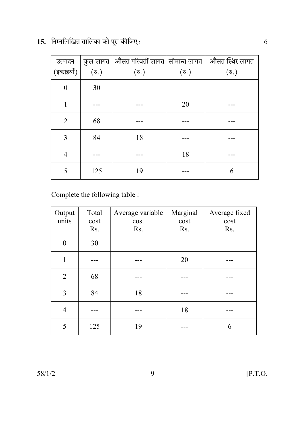| 15.  निम्नलिखित तालिका को पूरा कीजिए: |  |  |  |
|---------------------------------------|--|--|--|
|                                       |  |  |  |

| (इकाइयाँ)      | $(\overline{\mathfrak{s}}_\cdot)$ | उत्पादन $\;\;$   कुल लागत $\;$ औसत परिवर्ती लागत $\;$ सीमान्त लागत $\;$ औसत स्थिर लागत<br>$(\overline{\mathfrak{s}})$ | $(\overline{\mathfrak{v}})$ | $(\overline{\mathfrak{F}})$ |
|----------------|-----------------------------------|-----------------------------------------------------------------------------------------------------------------------|-----------------------------|-----------------------------|
| $\theta$       | 30                                |                                                                                                                       |                             |                             |
|                |                                   |                                                                                                                       | 20                          |                             |
| 2              | 68                                |                                                                                                                       |                             |                             |
| 3              | 84                                | 18                                                                                                                    |                             |                             |
| $\overline{4}$ |                                   |                                                                                                                       | 18                          |                             |
| 5              | 125                               | 19                                                                                                                    |                             | 6                           |

Complete the following table :

| Output<br>units | Total<br>cost<br>Rs. | Average variable<br>cost<br>Rs. | Marginal<br>cost<br>Rs. | Average fixed<br>cost<br>Rs. |
|-----------------|----------------------|---------------------------------|-------------------------|------------------------------|
| $\Omega$        | 30                   |                                 |                         |                              |
| 1               |                      |                                 | 20                      |                              |
| $\overline{2}$  | 68                   |                                 |                         |                              |
| 3               | 84                   | 18                              |                         |                              |
| $\overline{4}$  |                      |                                 | 18                      |                              |
| 5               | 125                  | 19                              |                         | 6                            |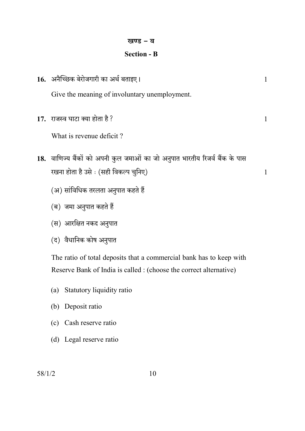# खण्ड - ब

# **Section - B**

| 16. अनैच्छिक बेरोजगारी का अर्थ बताइए।                                       | $\mathbf{1}$ |
|-----------------------------------------------------------------------------|--------------|
| Give the meaning of involuntary unemployment.                               |              |
| 17. राजस्व घाटा क्या होता है ?                                              | 1            |
| What is revenue deficit?                                                    |              |
| 18. वाणिज्य बैंकों को अपनी कुल जमाओं का जो अनुपात भारतीय रिजर्व बैंक के पास |              |
| रखना होता है उसे : (सही विकल्प चुनिए)                                       | 1            |
| (अ) सांविधिक तरलता अनुपात कहते हैं                                          |              |
| (ब)  जमा अनुपात कहते हैं                                                    |              |
| (स)  आरक्षित नकद अनुपात                                                     |              |
| (द)  वैधानिक कोष अनुपात                                                     |              |
| The ratio of total deposits that a commercial bank has to keep with         |              |
| Reserve Bank of India is called : (choose the correct alternative)          |              |

- (a) Statutory liquidity ratio
- (b) Deposit ratio
- (c) Cash reserve ratio
- (d) Legal reserve ratio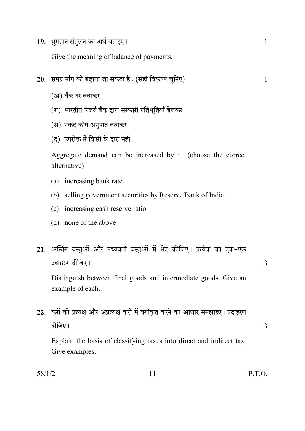19. भुगतान संतुलन का अर्थ बताइए।

Give the meaning of balance of payments.

- 20. समग्र माँग को बढ़ाया जा सकता है: (सही विकल्प चुनिए)
	- (अ) बैंक दर बढाकर
	- (ब) भारतीय रिजर्व बैंक द्वारा सरकारी प्रतिभूतियाँ बेचकर
	- (स) नकद कोष अनुपात बढ़ाकर
	- (द) उपरोक्त में किसी के द्वारा नहीं

Aggregate demand can be increased by : (choose the correct alternative)

- (a) increasing bank rate
- (b) selling government securities by Reserve Bank of India
- (c) increasing cash reserve ratio
- (d) none of the above
- 21. अन्तिम वस्तुओं और मध्यवर्ती वस्तुओं में भेद कीजिए। प्रत्येक का एक-एक उदाहरण दीजिए।

Distinguish between final goods and intermediate goods. Give an example of each.

22. करों को प्रत्यक्ष और अप्रत्यक्ष करों में वर्गीकृत करने का आधार समझाइए। उदाहरण दीजिए।

Explain the basis of classifying taxes into direct and indirect tax. Give examples.

 $\mathbf{1}$ 

3

3

 $58/1/2$ 

 $11$ 

 $[$ P.T.O.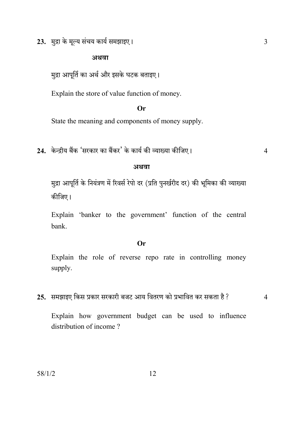23. मुद्रा के मूल्य संचय कार्य समझाइए।

### अथवा

मुद्रा आपूर्ति का अर्थ और इसके घटक बताइए।

Explain the store of value function of money.

## Or

State the meaning and components of money supply.

24. केन्द्रीय बैंक 'सरकार का बैंकर' के कार्य की व्याख्या कीजिए।

 $\overline{4}$ 

#### अथवा

मुद्रा आपूर्ति के नियंत्रण में रिवर्स रेपो दर (प्रति पुनर्खरीद दर) की भूमिका की व्याख्या कीजिए।

Explain 'banker to the government' function of the central bank.

### **Or**

Explain the role of reverse repo rate in controlling money supply.

25. समझाइए किस प्रकार सरकारी बजट आय वितरण को प्रभावित कर सकता है ?

 $\overline{4}$ 

Explain how government budget can be used to influence distribution of income?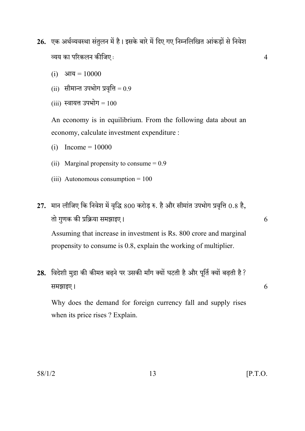- 26. एक अर्थव्यवस्था संतुलन में है। इसके बारे में दिए गए निम्नलिखित आंकडों से निवेश व्यय का परिकलन कीजिए:
	- (i) आय =  $10000$
	- (ii) सीमान्त उपभोग प्रवृत्ति =  $0.9$
	- $(iii)$  स्वायत्त उपभोग =  $100$

An economy is in equilibrium. From the following data about an economy, calculate investment expenditure :

- (i)  $Income = 10000$
- (ii) Marginal propensity to consume  $= 0.9$
- (iii) Autonomous consumption =  $100$
- 27. मान लीजिए कि निवेश में वृद्धि 800 करोड़ रु. है और सीमांत उपभोग प्रवृत्ति 0.8 है, तो गुणक की प्रक्रिया समझाइए।

Assuming that increase in investment is Rs. 800 crore and marginal propensity to consume is 0.8, explain the working of multiplier.

28. विदेशी मुद्रा की कीमत बढ़ने पर उसकी माँग क्यों घटती है और पूर्ति क्यों बढ़ती है ? समझाइए।

Why does the demand for foreign currency fall and supply rises when its price rises ? Explain.

13

6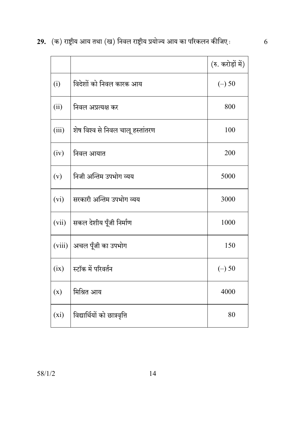29.  $($ क) राष्ट्रीय आय तथा (ख) निवल राष्ट्रीय प्रयोज्य आय का परिकलन कीजिए $\colon$   $6$ 

|         |                                  | (रु. करोड़ों में) |
|---------|----------------------------------|-------------------|
| (i)     | विदेशों को निवल कारक आय          | $(-)$ 50          |
| (ii)    | निवल अप्रत्यक्ष कर               | 800               |
| (iii)   | शेष विश्व से निवल चालू हस्तांतरण | 100               |
| (iv)    | निवल आयात                        | 200               |
| (v)     | निजी अन्तिम उपभोग व्यय           | 5000              |
| (vi)    | सरकारी अन्तिम उपभोग व्यय         | 3000              |
| (vii)   | सकल देशीय पूँजी निर्माण          | 1000              |
| (viii)  | अचल पूँजी का उपभोग               | 150               |
| (ix)    | स्टॉक में परिवर्तन               | $(-)$ 50          |
| (x)     | मिश्रित आय                       | 4000              |
| $(x_i)$ | विद्यार्थियों को छात्रवृत्ति     | 80                |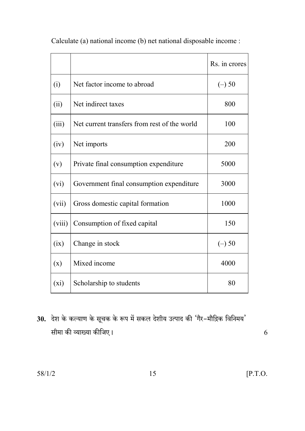|         |                                              | Rs. in crores |
|---------|----------------------------------------------|---------------|
| (i)     | Net factor income to abroad                  | $(-)$ 50      |
| (ii)    | Net indirect taxes                           | 800           |
| (iii)   | Net current transfers from rest of the world | 100           |
| (iv)    | Net imports                                  | 200           |
| (v)     | Private final consumption expenditure        | 5000          |
| (vi)    | Government final consumption expenditure     | 3000          |
| (vii)   | Gross domestic capital formation             | 1000          |
| (viii)  | Consumption of fixed capital                 | 150           |
| (ix)    | Change in stock                              | $(-)$ 50      |
| (x)     | Mixed income                                 | 4000          |
| $(x_i)$ | Scholarship to students                      | 80            |

Calculate (a) national income (b) net national disposable income :

30. देश के कल्याण के सूचक के रूप में सकल देशीय उत्पाद की 'गैर-मौद्रिक विनिमय' सीमा की व्याख्या कीजिए।